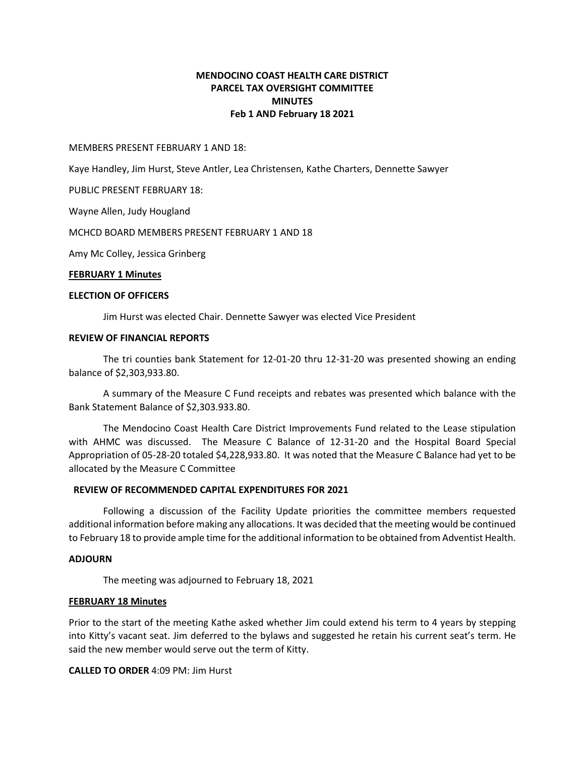# **MENDOCINO COAST HEALTH CARE DISTRICT PARCEL TAX OVERSIGHT COMMITTEE MINUTES Feb 1 AND February 18 2021**

MEMBERS PRESENT FEBRUARY 1 AND 18:

Kaye Handley, Jim Hurst, Steve Antler, Lea Christensen, Kathe Charters, Dennette Sawyer

PUBLIC PRESENT FEBRUARY 18:

Wayne Allen, Judy Hougland

MCHCD BOARD MEMBERS PRESENT FEBRUARY 1 AND 18

Amy Mc Colley, Jessica Grinberg

### **FEBRUARY 1 Minutes**

### **ELECTION OF OFFICERS**

Jim Hurst was elected Chair. Dennette Sawyer was elected Vice President

### **REVIEW OF FINANCIAL REPORTS**

The tri counties bank Statement for 12-01-20 thru 12-31-20 was presented showing an ending balance of \$2,303,933.80.

A summary of the Measure C Fund receipts and rebates was presented which balance with the Bank Statement Balance of \$2,303.933.80.

The Mendocino Coast Health Care District Improvements Fund related to the Lease stipulation with AHMC was discussed. The Measure C Balance of 12-31-20 and the Hospital Board Special Appropriation of 05-28-20 totaled \$4,228,933.80. It was noted that the Measure C Balance had yet to be allocated by the Measure C Committee

### **REVIEW OF RECOMMENDED CAPITAL EXPENDITURES FOR 2021**

Following a discussion of the Facility Update priorities the committee members requested additional information before making any allocations. It was decided that the meeting would be continued to February 18 to provide ample time for the additional information to be obtained from Adventist Health.

### **ADJOURN**

The meeting was adjourned to February 18, 2021

### **FEBRUARY 18 Minutes**

Prior to the start of the meeting Kathe asked whether Jim could extend his term to 4 years by stepping into Kitty's vacant seat. Jim deferred to the bylaws and suggested he retain his current seat's term. He said the new member would serve out the term of Kitty.

**CALLED TO ORDER** 4:09 PM: Jim Hurst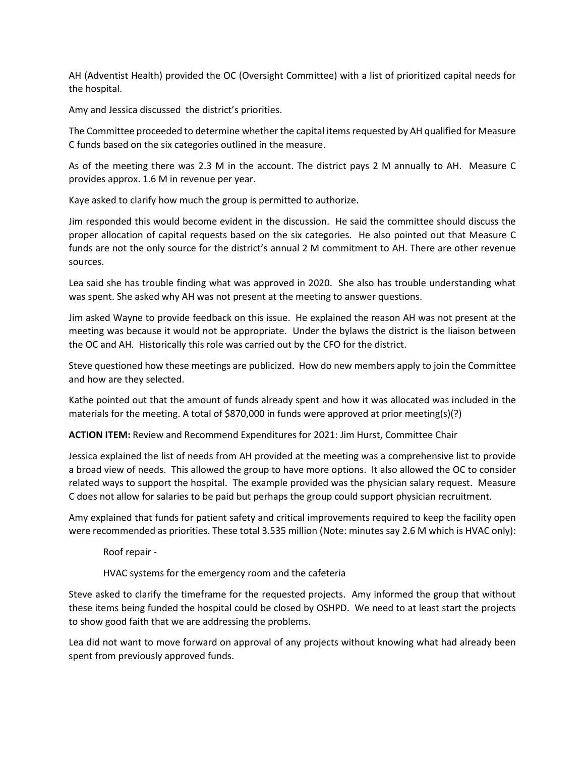AH (Adventist Health) provided the OC (Oversight Committee) with a list of prioritized capital needs for the hospital.

Amy and Jessica discussed the district's priorities.

The Committee proceeded to determine whether the capital items requested by AH qualified for Measure C funds based on the six categories outlined in the measure.

As of the meeting there was 2.3 M in the account. The district pays 2 M annually to AH. Measure C provides approx. 1.6 M in revenue per year.

Kaye asked to clarify how much the group is permitted to authorize.

Jim responded this would become evident in the discussion. He said the committee should discuss the proper allocation of capital requests based on the six categories. He also pointed out that Measure C funds are not the only source for the district's annual 2 M commitment to AH. There are other revenue sources.

Lea said she has trouble finding what was approved in 2020. She also has trouble understanding what was spent. She asked why AH was not present at the meeting to answer questions.

Jim asked Wayne to provide feedback on this issue. He explained the reason AH was not present at the meeting was because it would not be appropriate. Under the bylaws the district is the liaison between the OC and AH. Historically this role was carried out by the CFO for the district.

Steve questioned how these meetings are publicized. How do new members apply to join the Committee and how are they selected.

Kathe pointed out that the amount of funds already spent and how it was allocated was included in the materials for the meeting. A total of \$870,000 in funds were approved at prior meeting(s)(?)

**ACTION ITEM:** Review and Recommend Expenditures for 2021: Jim Hurst, Committee Chair

Jessica explained the list of needs from AH provided at the meeting was a comprehensive list to provide a broad view of needs. This allowed the group to have more options. It also allowed the OC to consider related ways to support the hospital. The example provided was the physician salary request. Measure C does not allow for salaries to be paid but perhaps the group could support physician recruitment.

Amy explained that funds for patient safety and critical improvements required to keep the facility open were recommended as priorities. These total 3.535 million (Note: minutes say 2.6 M which is HVAC only):

Roof repair -

HVAC systems for the emergency room and the cafeteria

Steve asked to clarify the timeframe for the requested projects. Amy informed the group that without these items being funded the hospital could be closed by OSHPD. We need to at least start the projects to show good faith that we are addressing the problems.

Lea did not want to move forward on approval of any projects without knowing what had already been spent from previously approved funds.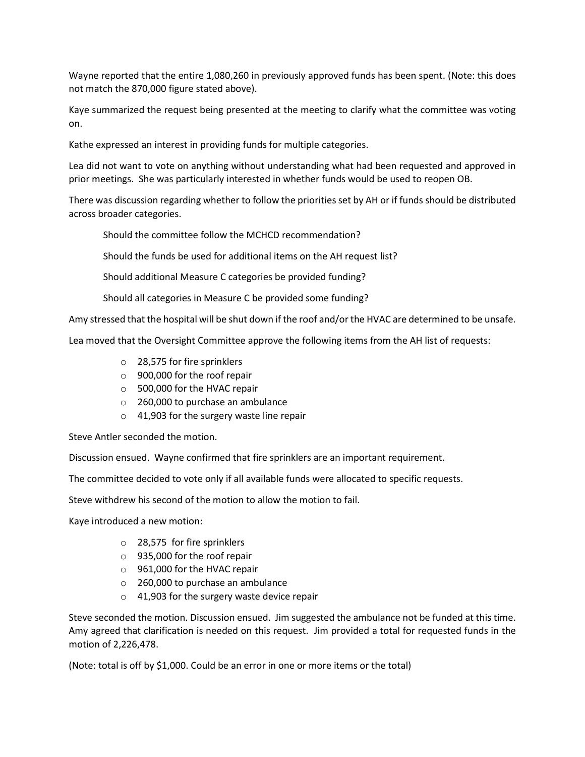Wayne reported that the entire 1,080,260 in previously approved funds has been spent. (Note: this does not match the 870,000 figure stated above).

Kaye summarized the request being presented at the meeting to clarify what the committee was voting on.

Kathe expressed an interest in providing funds for multiple categories.

Lea did not want to vote on anything without understanding what had been requested and approved in prior meetings. She was particularly interested in whether funds would be used to reopen OB.

There was discussion regarding whether to follow the priorities set by AH or if funds should be distributed across broader categories.

Should the committee follow the MCHCD recommendation?

Should the funds be used for additional items on the AH request list?

Should additional Measure C categories be provided funding?

Should all categories in Measure C be provided some funding?

Amy stressed that the hospital will be shut down if the roof and/or the HVAC are determined to be unsafe.

Lea moved that the Oversight Committee approve the following items from the AH list of requests:

- o 28,575 for fire sprinklers
- o 900,000 for the roof repair
- o 500,000 for the HVAC repair
- o 260,000 to purchase an ambulance
- o 41,903 for the surgery waste line repair

Steve Antler seconded the motion.

Discussion ensued. Wayne confirmed that fire sprinklers are an important requirement.

The committee decided to vote only if all available funds were allocated to specific requests.

Steve withdrew his second of the motion to allow the motion to fail.

Kaye introduced a new motion:

- o 28,575 for fire sprinklers
- o 935,000 for the roof repair
- o 961,000 for the HVAC repair
- o 260,000 to purchase an ambulance
- o 41,903 for the surgery waste device repair

Steve seconded the motion. Discussion ensued. Jim suggested the ambulance not be funded at this time. Amy agreed that clarification is needed on this request. Jim provided a total for requested funds in the motion of 2,226,478.

(Note: total is off by \$1,000. Could be an error in one or more items or the total)